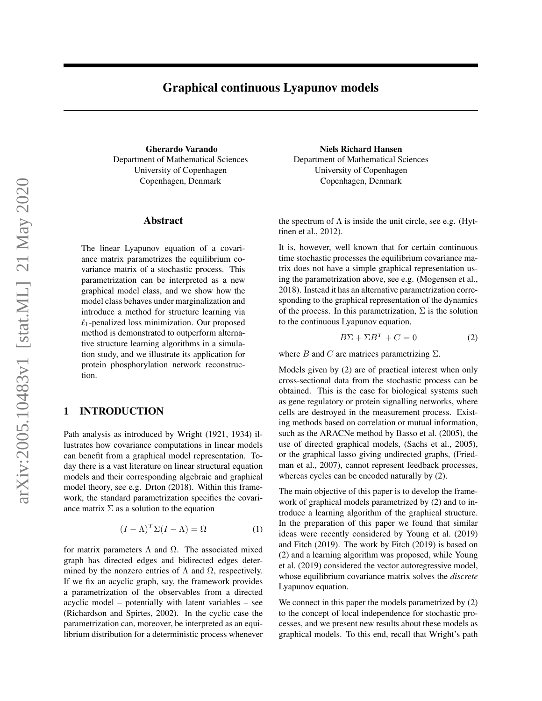# Graphical continuous Lyapunov models

Gherardo Varando Department of Mathematical Sciences University of Copenhagen Copenhagen, Denmark

### Abstract

The linear Lyapunov equation of a covariance matrix parametrizes the equilibrium covariance matrix of a stochastic process. This parametrization can be interpreted as a new graphical model class, and we show how the model class behaves under marginalization and introduce a method for structure learning via  $\ell_1$ -penalized loss minimization. Our proposed method is demonstrated to outperform alternative structure learning algorithms in a simulation study, and we illustrate its application for protein phosphorylation network reconstruction.

## 1 INTRODUCTION

Path analysis as introduced by [Wright](#page-9-0) [\(1921,](#page-9-0) [1934\)](#page-9-1) illustrates how covariance computations in linear models can benefit from a graphical model representation. Today there is a vast literature on linear structural equation models and their corresponding algebraic and graphical model theory, see e.g. [Drton](#page-9-2) [\(2018\)](#page-9-2). Within this framework, the standard parametrization specifies the covariance matrix  $\Sigma$  as a solution to the equation

$$
(I - \Lambda)^{T} \Sigma (I - \Lambda) = \Omega \tag{1}
$$

for matrix parameters  $\Lambda$  and  $\Omega$ . The associated mixed graph has directed edges and bidirected edges determined by the nonzero entries of  $\Lambda$  and  $\Omega$ , respectively. If we fix an acyclic graph, say, the framework provides a parametrization of the observables from a directed acyclic model – potentially with latent variables – see [\(Richardson and Spirtes, 2002\)](#page-9-3). In the cyclic case the parametrization can, moreover, be interpreted as an equilibrium distribution for a deterministic process whenever

Niels Richard Hansen Department of Mathematical Sciences University of Copenhagen Copenhagen, Denmark

the spectrum of  $\Lambda$  is inside the unit circle, see e.g. [\(Hyt](#page-9-4)[tinen et al., 2012\)](#page-9-4).

It is, however, well known that for certain continuous time stochastic processes the equilibrium covariance matrix does not have a simple graphical representation using the parametrization above, see e.g. [\(Mogensen et al.,](#page-9-5) [2018\)](#page-9-5). Instead it has an alternative parametrization corresponding to the graphical representation of the dynamics of the process. In this parametrization,  $\Sigma$  is the solution to the continuous Lyapunov equation,

<span id="page-0-0"></span>
$$
B\Sigma + \Sigma B^T + C = 0 \tag{2}
$$

where B and C are matrices parametrizing  $\Sigma$ .

Models given by [\(2\)](#page-0-0) are of practical interest when only cross-sectional data from the stochastic process can be obtained. This is the case for biological systems such as gene regulatory or protein signalling networks, where cells are destroyed in the measurement process. Existing methods based on correlation or mutual information, such as the ARACNe method by [Basso et al.](#page-8-0) [\(2005\)](#page-8-0), the use of directed graphical models, [\(Sachs et al., 2005\)](#page-9-6), or the graphical lasso giving undirected graphs, [\(Fried](#page-9-7)[man et al., 2007\)](#page-9-7), cannot represent feedback processes, whereas cycles can be encoded naturally by [\(2\)](#page-0-0).

The main objective of this paper is to develop the framework of graphical models parametrized by [\(2\)](#page-0-0) and to introduce a learning algorithm of the graphical structure. In the preparation of this paper we found that similar ideas were recently considered by [Young et al.](#page-9-8) [\(2019\)](#page-9-8) and [Fitch](#page-9-9) [\(2019\)](#page-9-9). The work by [Fitch](#page-9-9) [\(2019\)](#page-9-9) is based on [\(2\)](#page-0-0) and a learning algorithm was proposed, while [Young](#page-9-8) [et al.](#page-9-8) [\(2019\)](#page-9-8) considered the vector autoregressive model, whose equilibrium covariance matrix solves the *discrete* Lyapunov equation.

We connect in this paper the models parametrized by  $(2)$ to the concept of local independence for stochastic processes, and we present new results about these models as graphical models. To this end, recall that Wright's path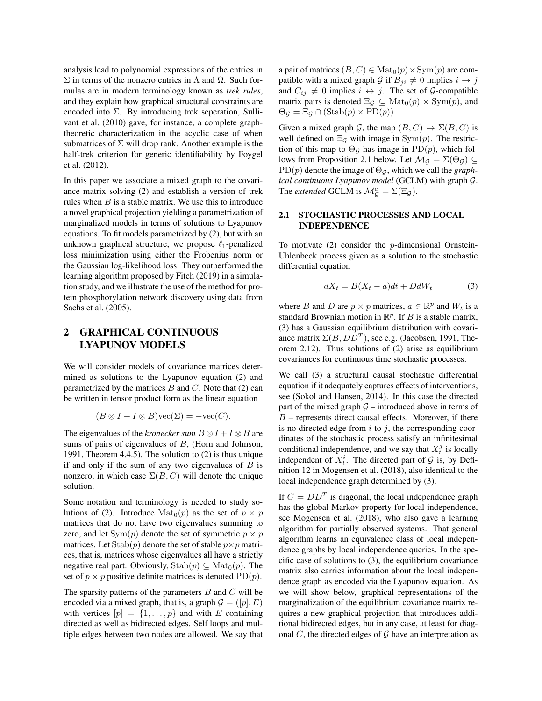analysis lead to polynomial expressions of the entries in Σ in terms of the nonzero entries in Λ and Ω. Such formulas are in modern terminology known as *trek rules*, and they explain how graphical structural constraints are encoded into  $\Sigma$ . By introducing trek seperation, [Sulli](#page-9-10)[vant et al.](#page-9-10) [\(2010\)](#page-9-10) gave, for instance, a complete graphtheoretic characterization in the acyclic case of when submatrices of  $\Sigma$  will drop rank. Another example is the half-trek criterion for generic identifiability by [Foygel](#page-9-11) [et al.](#page-9-11) [\(2012\)](#page-9-11).

In this paper we associate a mixed graph to the covariance matrix solving [\(2\)](#page-0-0) and establish a version of trek rules when  $B$  is a stable matrix. We use this to introduce a novel graphical projection yielding a parametrization of marginalized models in terms of solutions to Lyapunov equations. To fit models parametrized by [\(2\)](#page-0-0), but with an unknown graphical structure, we propose  $\ell_1$ -penalized loss minimization using either the Frobenius norm or the Gaussian log-likelihood loss. They outperformed the learning algorithm proposed by [Fitch](#page-9-9) [\(2019\)](#page-9-9) in a simulation study, and we illustrate the use of the method for protein phosphorylation network discovery using data from [Sachs et al.](#page-9-6) [\(2005\)](#page-9-6).

## 2 GRAPHICAL CONTINUOUS LYAPUNOV MODELS

We will consider models of covariance matrices determined as solutions to the Lyapunov equation [\(2\)](#page-0-0) and parametrized by the matrices  $B$  and  $C$ . Note that [\(2\)](#page-0-0) can be written in tensor product form as the linear equation

$$
(B \otimes I + I \otimes B) \text{vec}(\Sigma) = -\text{vec}(C).
$$

The eigenvalues of the *kronecker sum*  $B \otimes I + I \otimes B$  are sums of pairs of eigenvalues of B, [\(Horn and Johnson,](#page-9-12) [1991,](#page-9-12) Theorem 4.4.5). The solution to [\(2\)](#page-0-0) is thus unique if and only if the sum of any two eigenvalues of  $B$  is nonzero, in which case  $\Sigma(B, C)$  will denote the unique solution.

Some notation and terminology is needed to study so-lutions of [\(2\)](#page-0-0). Introduce  $\text{Mat}_0(p)$  as the set of  $p \times p$ matrices that do not have two eigenvalues summing to zero, and let  $Sym(p)$  denote the set of symmetric  $p \times p$ matrices. Let  $\text{Stab}(p)$  denote the set of stable  $p \times p$  matrices, that is, matrices whose eigenvalues all have a strictly negative real part. Obviously,  $\text{Stab}(p) \subseteq \text{Mat}_0(p)$ . The set of  $p \times p$  positive definite matrices is denoted PD(p).

The sparsity patterns of the parameters  $B$  and  $C$  will be encoded via a mixed graph, that is, a graph  $\mathcal{G} = ([p], E)$ with vertices  $[p] = \{1, \ldots, p\}$  and with E containing directed as well as bidirected edges. Self loops and multiple edges between two nodes are allowed. We say that a pair of matrices  $(B, C) \in Mat_0(p) \times \text{Sym}(p)$  are compatible with a mixed graph G if  $B_{ji} \neq 0$  implies  $i \rightarrow j$ and  $C_{ij} \neq 0$  implies  $i \leftrightarrow j$ . The set of G-compatible matrix pairs is denoted  $\Xi_{\mathcal{G}} \subseteq \text{Mat}_{0}(p) \times \text{Sym}(p)$ , and  $\Theta_{\mathcal{G}} = \Xi_{\mathcal{G}} \cap (\text{Stab}(p) \times \text{PD}(p)).$ 

Given a mixed graph G, the map  $(B, C) \mapsto \Sigma(B, C)$  is well defined on  $\Xi_G$  with image in Sym $(p)$ . The restriction of this map to  $\Theta_{\mathcal{G}}$  has image in PD(p), which fol-lows from Proposition [2.1](#page-2-0) below. Let  $\mathcal{M}_{\mathcal{G}} = \Sigma(\Theta_{\mathcal{G}}) \subseteq$  $PD(p)$  denote the image of  $\Theta_{\mathcal{G}}$ , which we call the *graphical continuous Lyapunov model* (GCLM) with graph G. The *extended* GCLM is  $\mathcal{M}_{\mathcal{G}}^e = \Sigma(\Xi_{\mathcal{G}})$ .

## <span id="page-1-1"></span>2.1 STOCHASTIC PROCESSES AND LOCAL INDEPENDENCE

To motivate  $(2)$  consider the *p*-dimensional Ornstein-Uhlenbeck process given as a solution to the stochastic differential equation

<span id="page-1-0"></span>
$$
dX_t = B(X_t - a)dt + DdW_t \tag{3}
$$

where B and D are  $p \times p$  matrices,  $a \in \mathbb{R}^p$  and  $W_t$  is a standard Brownian motion in  $\mathbb{R}^p$ . If B is a stable matrix, [\(3\)](#page-1-0) has a Gaussian equilibrium distribution with covariance matrix  $\Sigma(B,DD^T)$ , see e.g. [\(Jacobsen, 1991,](#page-9-13) Theorem 2.12). Thus solutions of [\(2\)](#page-0-0) arise as equilibrium covariances for continuous time stochastic processes.

We call [\(3\)](#page-1-0) a structural causal stochastic differential equation if it adequately captures effects of interventions, see [\(Sokol and Hansen, 2014\)](#page-9-14). In this case the directed part of the mixed graph  $G$  – introduced above in terms of  $B$  – represents direct causal effects. Moreover, if there is no directed edge from  $i$  to  $j$ , the corresponding coordinates of the stochastic process satisfy an infinitesimal conditional independence, and we say that  $X_t^j$  is locally independent of  $X_t^i$ . The directed part of  $G$  is, by Definition 12 in [Mogensen et al.](#page-9-5) [\(2018\)](#page-9-5), also identical to the local independence graph determined by [\(3\)](#page-1-0).

If  $C = DD<sup>T</sup>$  is diagonal, the local independence graph has the global Markov property for local independence, see [Mogensen et al.](#page-9-5) [\(2018\)](#page-9-5), who also gave a learning algorithm for partially observed systems. That general algorithm learns an equivalence class of local independence graphs by local independence queries. In the specific case of solutions to [\(3\)](#page-1-0), the equilibrium covariance matrix also carries information about the local independence graph as encoded via the Lyapunov equation. As we will show below, graphical representations of the marginalization of the equilibrium covariance matrix requires a new graphical projection that introduces additional bidirected edges, but in any case, at least for diagonal  $C$ , the directed edges of  $\mathcal G$  have an interpretation as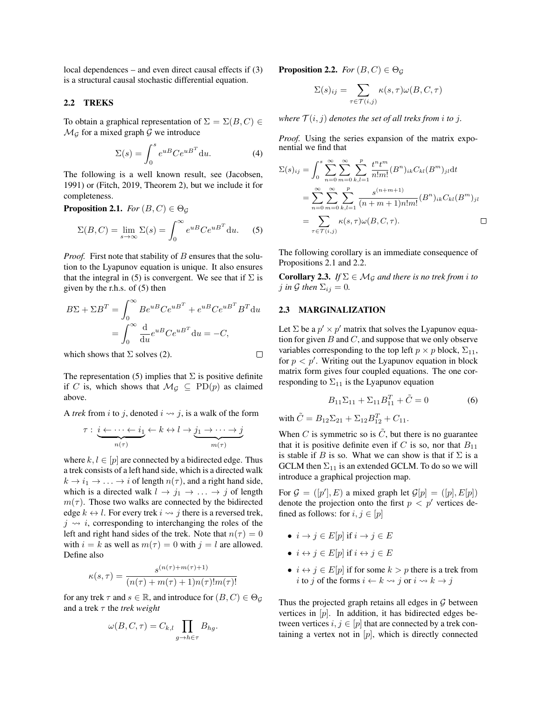local dependences – and even direct causal effects if [\(3\)](#page-1-0) is a structural causal stochastic differential equation.

#### 2.2 TREKS

To obtain a graphical representation of  $\Sigma = \Sigma(B, C) \in$  $\mathcal{M}_{\mathcal{G}}$  for a mixed graph  $\mathcal{G}$  we introduce

<span id="page-2-1"></span>
$$
\Sigma(s) = \int_0^s e^{uB} Ce^{uB^T} du.
$$
 (4)

The following is a well known result, see [\(Jacobsen,](#page-9-13) [1991\)](#page-9-13) or [\(Fitch, 2019,](#page-9-9) Theorem 2), but we include it for completeness.

<span id="page-2-0"></span>**Proposition 2.1.** *For*  $(B, C) \in \Theta_G$ 

$$
\Sigma(B, C) = \lim_{s \to \infty} \Sigma(s) = \int_0^\infty e^{uB} C e^{uB^T} du.
$$
 (5)

*Proof.* First note that stability of B ensures that the solution to the Lyapunov equation is unique. It also ensures that the integral in [\(5\)](#page-2-1) is convergent. We see that if  $\Sigma$  is given by the r.h.s. of [\(5\)](#page-2-1) then

$$
B\Sigma + \Sigma B^T = \int_0^\infty B e^{uB} C e^{uB^T} + e^{uB} C e^{uB^T} B^T du
$$
  
= 
$$
\int_0^\infty \frac{d}{du} e^{uB} C e^{uB^T} du = -C,
$$

which shows that  $\Sigma$  solves [\(2\)](#page-0-0).

The representation [\(5\)](#page-2-1) implies that  $\Sigma$  is positive definite if C is, which shows that  $\mathcal{M}_G \subseteq \text{PD}(p)$  as claimed above.

A *trek* from *i* to *j*, denoted  $i \rightsquigarrow j$ , is a walk of the form

$$
\tau: \underbrace{i \leftarrow \cdots \leftarrow i_1}_{n(\tau)} \leftarrow k \leftrightarrow l \to \underbrace{j_1 \to \cdots \to j}_{m(\tau)}
$$

where  $k, l \in [p]$  are connected by a bidirected edge. Thus a trek consists of a left hand side, which is a directed walk  $k \to i_1 \to \ldots \to i$  of length  $n(\tau)$ , and a right hand side, which is a directed walk  $l \rightarrow j_1 \rightarrow \ldots \rightarrow j$  of length  $m(\tau)$ . Those two walks are connected by the bidirected edge  $k \leftrightarrow l$ . For every trek  $i \leadsto j$  there is a reversed trek,  $j \leftrightarrow i$ , corresponding to interchanging the roles of the left and right hand sides of the trek. Note that  $n(\tau) = 0$ with  $i = k$  as well as  $m(\tau) = 0$  with  $j = l$  are allowed. Define also

$$
\kappa(s,\tau)=\frac{s^{(n(\tau)+m(\tau)+1)}}{(n(\tau)+m(\tau)+1)n(\tau)!m(\tau)!}
$$

for any trek  $\tau$  and  $s \in \mathbb{R}$ , and introduce for  $(B, C) \in \Theta_{\mathcal{G}}$ and a trek  $\tau$  the *trek weight* 

$$
\omega(B, C, \tau) = C_{k,l} \prod_{g \to h \in \tau} B_{hg}.
$$

<span id="page-2-2"></span>**Proposition 2.2.** *For*  $(B, C) \in \Theta_G$ 

$$
\Sigma(s)_{ij} = \sum_{\tau \in \mathcal{T}(i,j)} \kappa(s,\tau)\omega(B,C,\tau)
$$

*where*  $\mathcal{T}(i, j)$  *denotes the set of all treks from i to j.* 

*Proof.* Using the series expansion of the matrix exponential we find that

$$
\Sigma(s)_{ij} = \int_0^s \sum_{n=0}^{\infty} \sum_{m=0}^{\infty} \sum_{k,l=1}^p \frac{t^n t^m}{n! m!} (B^n)_{ik} C_{kl} (B^m)_{jl} dt
$$
  
= 
$$
\sum_{n=0}^{\infty} \sum_{m=0}^{\infty} \sum_{k,l=1}^p \frac{s^{(n+m+1)}}{(n+m+1) n! m!} (B^n)_{ik} C_{kl} (B^m)_{jl}
$$
  
= 
$$
\sum_{\tau \in \mathcal{T}(i,j)} \kappa(s, \tau) \omega(B, C, \tau).
$$

The following corollary is an immediate consequence of Propositions [2.1](#page-2-0) and [2.2.](#page-2-2)

<span id="page-2-3"></span>**Corollary 2.3.** *If*  $\Sigma \in \mathcal{M}_{\mathcal{G}}$  *and there is no trek from i to j* in G then  $\Sigma_{ij} = 0$ .

#### <span id="page-2-4"></span>2.3 MARGINALIZATION

 $\Box$ 

Let  $\Sigma$  be a  $p' \times p'$  matrix that solves the Lyapunov equation for given  $B$  and  $C$ , and suppose that we only observe variables corresponding to the top left  $p \times p$  block,  $\Sigma_{11}$ , for  $p < p'$ . Writing out the Lyapunov equation in block matrix form gives four coupled equations. The one corresponding to  $\Sigma_{11}$  is the Lyapunov equation

$$
B_{11}\Sigma_{11} + \Sigma_{11}B_{11}^T + \tilde{C} = 0 \tag{6}
$$

with  $\tilde{C} = B_{12} \Sigma_{21} + \Sigma_{12} B_{12}^T + C_{11}$ .

When C is symmetric so is  $\tilde{C}$ , but there is no guarantee that it is positive definite even if C is so, nor that  $B_{11}$ is stable if B is so. What we can show is that if  $\Sigma$  is a GCLM then  $\Sigma_{11}$  is an extended GCLM. To do so we will introduce a graphical projection map.

For  $\mathcal{G} = ([p'], E)$  a mixed graph let  $\mathcal{G}[p] = ([p], E[p])$ denote the projection onto the first  $p < p'$  vertices defined as follows: for  $i, j \in [p]$ 

- $i \to j \in E[p]$  if  $i \to j \in E$
- $i \leftrightarrow j \in E[p]$  if  $i \leftrightarrow j \in E$
- $i \leftrightarrow j \in E[p]$  if for some  $k > p$  there is a trek from i to j of the forms  $i \leftarrow k \rightsquigarrow j$  or  $i \rightsquigarrow k \rightarrow j$

Thus the projected graph retains all edges in  $G$  between vertices in  $[p]$ . In addition, it has bidirected edges between vertices  $i, j \in [p]$  that are connected by a trek containing a vertex not in  $[p]$ , which is directly connected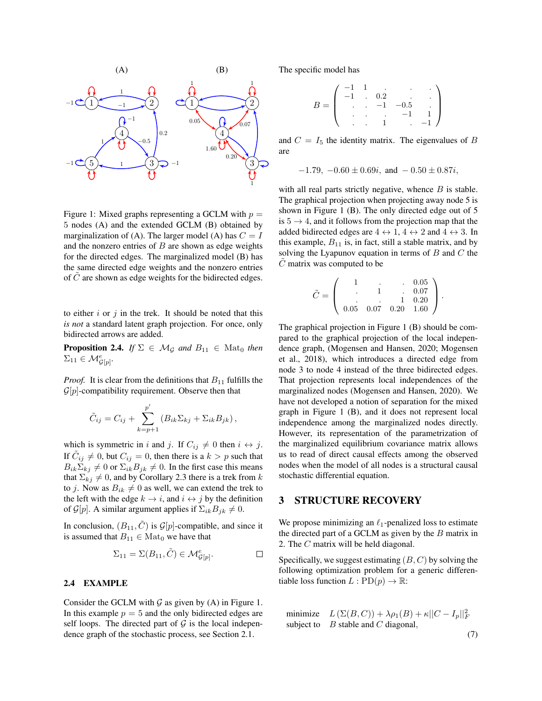

<span id="page-3-0"></span>Figure 1: Mixed graphs representing a GCLM with  $p =$ 5 nodes (A) and the extended GCLM (B) obtained by marginalization of (A). The larger model (A) has  $C = I$ and the nonzero entries of  $B$  are shown as edge weights for the directed edges. The marginalized model (B) has the same directed edge weights and the nonzero entries of  $C$  are shown as edge weights for the bidirected edges.

to either  $i$  or  $j$  in the trek. It should be noted that this *is not* a standard latent graph projection. For once, only bidirected arrows are added.

**Proposition 2.4.** *If*  $\Sigma \in \mathcal{M}_{\mathcal{G}}$  *and*  $B_{11} \in \text{Mat}_{0}$  *then*  $\Sigma_{11} \in \mathcal{M}_{\mathcal{G}[p]}^e$ .

*Proof.* It is clear from the definitions that  $B_{11}$  fulfills the  $\mathcal{G}[p]$ -compatibility requirement. Observe then that

$$
\tilde{C}_{ij} = C_{ij} + \sum_{k=p+1}^{p'} (B_{ik} \Sigma_{kj} + \Sigma_{ik} B_{jk}),
$$

which is symmetric in i and j. If  $C_{ij} \neq 0$  then  $i \leftrightarrow j$ . If  $\tilde{C}_{ij} \neq 0$ , but  $C_{ij} = 0$ , then there is a  $k > p$  such that  $B_{ik}\Sigma_{kj} \neq 0$  or  $\Sigma_{ik}B_{jk} \neq 0$ . In the first case this means that  $\Sigma_{ki} \neq 0$ , and by Corollary [2.3](#page-2-3) there is a trek from k to j. Now as  $B_{ik} \neq 0$  as well, we can extend the trek to the left with the edge  $k \to i$ , and  $i \leftrightarrow j$  by the definition of  $\mathcal{G}[p]$ . A similar argument applies if  $\Sigma_{ik}B_{jk} \neq 0$ .

In conclusion,  $(B_{11}, \tilde{C})$  is  $\mathcal{G}[p]$ -compatible, and since it is assumed that  $B_{11} \in \text{Mat}_0$  we have that

$$
\Sigma_{11} = \Sigma(B_{11}, \tilde{C}) \in \mathcal{M}_{\mathcal{G}[p]}^e.
$$

### 2.4 EXAMPLE

Consider the GCLM with  $\mathcal G$  as given by (A) in Figure [1.](#page-3-0) In this example  $p = 5$  and the only bidirected edges are self loops. The directed part of  $G$  is the local independence graph of the stochastic process, see Section [2.1.](#page-1-1)

The specific model has

$$
B = \left( \begin{array}{ccccc} -1 & 1 & \cdot & \cdot & \cdot & \cdot \\ -1 & \cdot & 0.2 & \cdot & \cdot & \cdot \\ \cdot & \cdot & -1 & -0.5 & \cdot \\ \cdot & \cdot & \cdot & -1 & 1 \\ \cdot & \cdot & 1 & \cdot & -1 \end{array} \right)
$$

and  $C = I_5$  the identity matrix. The eigenvalues of B are

$$
-1.79
$$
,  $-0.60 \pm 0.69i$ , and  $-0.50 \pm 0.87i$ ,

with all real parts strictly negative, whence  $B$  is stable. The graphical projection when projecting away node 5 is shown in Figure [1](#page-3-0) (B). The only directed edge out of 5 is  $5 \rightarrow 4$ , and it follows from the projection map that the added bidirected edges are  $4 \leftrightarrow 1$ ,  $4 \leftrightarrow 2$  and  $4 \leftrightarrow 3$ . In this example,  $B_{11}$  is, in fact, still a stable matrix, and by solving the Lyapunov equation in terms of  $B$  and  $C$  the  $\ddot{C}$  matrix was computed to be

$$
\tilde{C} = \left( \begin{array}{cccc} 1 & . & . & 0.05 \\ . & 1 & . & 0.07 \\ . & . & 1 & 0.20 \\ 0.05 & 0.07 & 0.20 & 1.60 \end{array} \right).
$$

The graphical projection in Figure [1](#page-3-0) (B) should be compared to the graphical projection of the local independence graph, [\(Mogensen and Hansen, 2020;](#page-9-15) [Mogensen](#page-9-5) [et al., 2018\)](#page-9-5), which introduces a directed edge from node 3 to node 4 instead of the three bidirected edges. That projection represents local independences of the marginalized nodes [\(Mogensen and Hansen, 2020\)](#page-9-15). We have not developed a notion of separation for the mixed graph in Figure [1](#page-3-0) (B), and it does not represent local independence among the marginalized nodes directly. However, its representation of the parametrization of the marginalized equilibrium covariance matrix allows us to read of direct causal effects among the observed nodes when the model of all nodes is a structural causal stochastic differential equation.

## 3 STRUCTURE RECOVERY

We propose minimizing an  $\ell_1$ -penalized loss to estimate the directed part of a GCLM as given by the  $B$  matrix in [2.](#page-0-0) The C matrix will be held diagonal.

Specifically, we suggest estimating  $(B, C)$  by solving the following optimization problem for a generic differentiable loss function  $L: \text{PD}(p) \to \mathbb{R}$ :

<span id="page-3-1"></span>minimize 
$$
L(\Sigma(B, C)) + \lambda \rho_1(B) + \kappa ||C - I_p||_F^2
$$
  
subject to *B* stable and *C* diagonal, (7)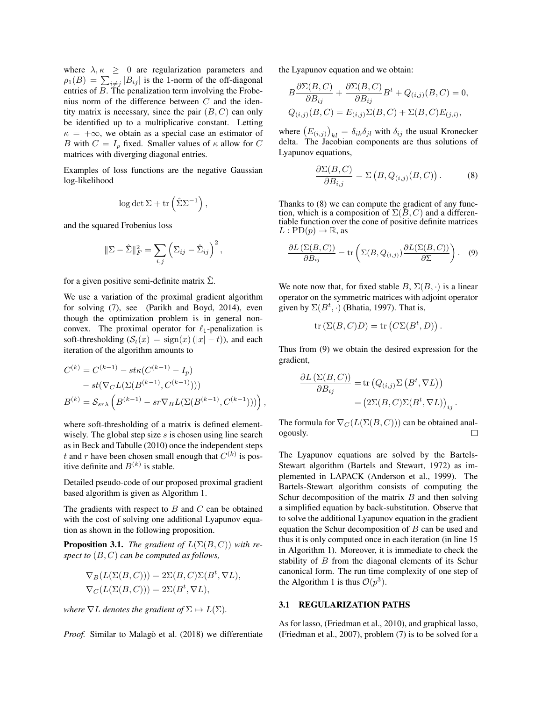where  $\lambda, \kappa \geq 0$  are regularization parameters and  $\rho_1(B) = \sum_{i \neq j} |B_{ij}|$  is the 1-norm of the off-diagonal entries of B. The penalization term involving the Frobenius norm of the difference between  $C$  and the identity matrix is necessary, since the pair  $(B, C)$  can only be identified up to a multiplicative constant. Letting  $\kappa = +\infty$ , we obtain as a special case an estimator of B with  $C = I_p$  fixed. Smaller values of  $\kappa$  allow for C matrices with diverging diagonal entries.

Examples of loss functions are the negative Gaussian log-likelihood

$$
\log \det \Sigma + \operatorname{tr}\left(\hat \Sigma \Sigma^{-1}\right),
$$

and the squared Frobenius loss

$$
\|\Sigma - \hat{\Sigma}\|_F^2 = \sum_{i,j} \left(\Sigma_{ij} - \hat{\Sigma}_{ij}\right)^2,
$$

for a given positive semi-definite matrix  $\Sigma$ .

We use a variation of the proximal gradient algorithm for solving [\(7\)](#page-3-1), see [\(Parikh and Boyd, 2014\)](#page-9-16), even though the optimization problem is in general nonconvex. The proximal operator for  $\ell_1$ -penalization is soft-thresholding  $(S_t(x) = sign(x) (|x| - t)$ , and each iteration of the algorithm amounts to

$$
C^{(k)} = C^{(k-1)} - st\kappa(C^{(k-1)} - I_p)
$$
  
-  $st(\nabla_C L(\Sigma(B^{(k-1)}, C^{(k-1)})))$   

$$
B^{(k)} = S_{sr\lambda} \left( B^{(k-1)} - sr\nabla_B L(\Sigma(B^{(k-1)}, C^{(k-1)}))) \right),
$$

where soft-thresholding of a matrix is defined elementwisely. The global step size  $s$  is chosen using line search as in [Beck and Tabulle](#page-8-1) [\(2010\)](#page-8-1) once the independent steps t and r have been chosen small enough that  $C^{(k)}$  is positive definite and  $B^{(k)}$  is stable.

Detailed pseudo-code of our proposed proximal gradient based algorithm is given as Algorithm [1.](#page-5-0)

The gradients with respect to  $B$  and  $C$  can be obtained with the cost of solving one additional Lyapunov equation as shown in the following proposition.

**Proposition 3.1.** *The gradient of*  $L(\Sigma(B, C))$  *with respect to* (B, C) *can be computed as follows,*

$$
\nabla_B(L(\Sigma(B,C))) = 2\Sigma(B,C)\Sigma(B^t, \nabla L),
$$
  
\n
$$
\nabla_C(L(\Sigma(B,C))) = 2\Sigma(B^t, \nabla L),
$$

*where*  $\nabla L$  *denotes the gradient of*  $\Sigma \mapsto L(\Sigma)$ *.* 

*Proof.* Similar to Malagò et al. [\(2018\)](#page-9-17) we differentiate

the Lyapunov equation and we obtain:

$$
B\frac{\partial \Sigma(B,C)}{\partial B_{ij}} + \frac{\partial \Sigma(B,C)}{\partial B_{ij}}B^t + Q_{(i,j)}(B,C) = 0,
$$
  

$$
Q_{(i,j)}(B,C) = E_{(i,j)}\Sigma(B,C) + \Sigma(B,C)E_{(j,i)},
$$

where  $(E_{(i,j)})_{kl} = \delta_{ik}\delta_{jl}$  with  $\delta_{ij}$  the usual Kronecker delta. The Jacobian components are thus solutions of Lyapunov equations,

<span id="page-4-0"></span>
$$
\frac{\partial \Sigma(B,C)}{\partial B_{i,j}} = \Sigma(B, Q_{(i,j)}(B,C)). \tag{8}
$$

Thanks to [\(8\)](#page-4-0) we can compute the gradient of any function, which is a composition of  $\Sigma(B, C)$  and a differentiable function over the cone of positive definite matrices  $L: \text{PD}(p) \to \mathbb{R}$ , as

<span id="page-4-1"></span>
$$
\frac{\partial L\left(\Sigma(B,C)\right)}{\partial B_{ij}} = \text{tr}\left(\Sigma(B,Q_{(i,j)})\frac{\partial L(\Sigma(B,C))}{\partial \Sigma}\right). \quad (9)
$$

We note now that, for fixed stable  $B$ ,  $\Sigma(B, \cdot)$  is a linear operator on the symmetric matrices with adjoint operator given by  $\Sigma(B^t, \cdot)$  [\(Bhatia, 1997\)](#page-8-2). That is,

$$
\text{tr}(\Sigma(B,C)D) = \text{tr}(C\Sigma(B^t,D)).
$$

Thus from [\(9\)](#page-4-1) we obtain the desired expression for the gradient,

$$
\frac{\partial L\left(\Sigma(B,C)\right)}{\partial B_{ij}} = \text{tr}\left(Q_{(i,j)}\Sigma\left(B^t, \nabla L\right)\right)
$$

$$
= \left(2\Sigma(B,C)\Sigma(B^t, \nabla L)\right)_{ij}.
$$

The formula for  $\nabla_C (L(\Sigma(B,C)))$  can be obtained analogously.  $\Box$ 

The Lyapunov equations are solved by the Bartels-Stewart algorithm [\(Bartels and Stewart, 1972\)](#page-8-3) as implemented in LAPACK [\(Anderson et al., 1999\)](#page-8-4). The Bartels-Stewart algorithm consists of computing the Schur decomposition of the matrix  $B$  and then solving a simplified equation by back-substitution. Observe that to solve the additional Lyapunov equation in the gradient equation the Schur decomposition of  $B$  can be used and thus it is only computed once in each iteration (in line [15](#page-5-1) in Algorithm [1\)](#page-5-0). Moreover, it is immediate to check the stability of B from the diagonal elements of its Schur canonical form. The run time complexity of one step of the Algorithm [1](#page-5-0) is thus  $\mathcal{O}(p^3)$ .

#### 3.1 REGULARIZATION PATHS

As for lasso, [\(Friedman et al., 2010\)](#page-9-18), and graphical lasso, [\(Friedman et al., 2007\)](#page-9-7), problem [\(7\)](#page-3-1) is to be solved for a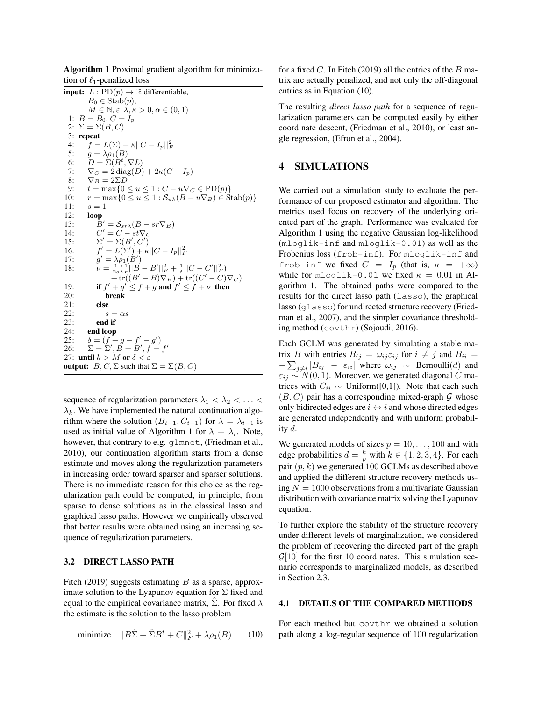Algorithm 1 Proximal gradient algorithm for minimization of  $\ell_1$ -penalized loss

<span id="page-5-0"></span>**input:**  $L: \text{PD}(p) \to \mathbb{R}$  differentiable,  $B_0 \in \text{Stab}(p)$ ,  $M \in \mathbb{N}, \varepsilon, \lambda, \kappa > 0, \alpha \in (0, 1)$ 1:  $B = B_0, C = I_p$ 2:  $\Sigma = \Sigma(B, C)$ 3: repeat 4:  $f = L(\Sigma) + \kappa ||C - I_p||_F^2$ 5:  $g = \lambda \rho_1(B)$ 6:  $D = \Sigma(\dot{B}^t, \nabla L)$ 7:  $\nabla_C = 2 \operatorname{diag}(D) + 2\kappa (C - I_p)$ <br>8:  $\nabla_B = 2\Sigma D$ 8:  $\nabla_B = 2\Sigma D$ <br>9:  $t = \max\{0\}$  $t = \max\{0 \le u \le 1 : C - u\nabla_C \in \text{PD}(p)\}\$ 10:  $r = \max\{0 \le u \le 1 : \mathcal{S}_{u\lambda}(B - u\nabla_B) \in \text{Stab}(p)\}\$ 11:  $s = 1$ <br>12: **loop** loop  $13:$  $B' = S_{sr\lambda}(B - sr\nabla_B)$  $14:$  $v' = C - \dot{s}t\nabla_C$  $15:$  $'=\Sigma(B',C')$ 16:  $\mathcal{O}'=L(\Sigma')+\kappa||C-I_p||_F^2$  $17:$  $\ell' = \lambda \rho_1(B')$ 18:  $\nu = \frac{1}{2s}(\frac{1}{r}||B - B'||_F^2 + \frac{1}{t}||C - C'||_F^2)$  $+\operatorname{tr}((B'-B)\nabla_B)+\operatorname{tr}((C'-C)\nabla_C)$ 19: if  $f' + g' \leq f + g$  and  $f' \leq f + \nu$  then 20: break 21: else 22:  $s = \alpha s$ <br>23: **end if** end if 24: end loop 25:  $\delta = (f + g - f' - g')$ 26:  $\Sigma = \Sigma', B = B', f = f'$ 27: until  $k > M$  or  $\delta < \varepsilon$ output:  $B, C, \Sigma$  such that  $\Sigma = \Sigma(B, C)$ 

sequence of regularization parameters  $\lambda_1 < \lambda_2 < \ldots <$  $\lambda_k$ . We have implemented the natural continuation algorithm where the solution  $(B_{i-1}, C_{i-1})$  for  $\lambda = \lambda_{i-1}$  is used as initial value of Algorithm [1](#page-5-0) for  $\lambda = \lambda_i$ . Note, however, that contrary to e.g. glmnet, [\(Friedman et al.,](#page-9-18) [2010\)](#page-9-18), our continuation algorithm starts from a dense estimate and moves along the regularization parameters in increasing order toward sparser and sparser solutions. There is no immediate reason for this choice as the regularization path could be computed, in principle, from sparse to dense solutions as in the classical lasso and graphical lasso paths. However we empirically observed that better results were obtained using an increasing sequence of regularization parameters.

#### 3.2 DIRECT LASSO PATH

[Fitch](#page-9-9) [\(2019\)](#page-9-9) suggests estimating  $B$  as a sparse, approximate solution to the Lyapunov equation for  $\Sigma$  fixed and equal to the empirical covariance matrix,  $\Sigma$ . For fixed  $\lambda$ the estimate is the solution to the lasso problem

minimize  $||B\hat{\Sigma} + \hat{\Sigma}B^t + C||_F^2 + \lambda \rho_1(B).$  (10)

for a fixed C. In [Fitch](#page-9-9) [\(2019\)](#page-9-9) all the entries of the B matrix are actually penalized, and not only the off-diagonal entries as in Equation [\(10\)](#page-5-2).

The resulting *direct lasso path* for a sequence of regularization parameters can be computed easily by either coordinate descent, [\(Friedman et al., 2010\)](#page-9-18), or least angle regression, [\(Efron et al., 2004\)](#page-9-19).

## 4 SIMULATIONS

<span id="page-5-1"></span>We carried out a simulation study to evaluate the performance of our proposed estimator and algorithm. The metrics used focus on recovery of the underlying oriented part of the graph. Performance was evaluated for Algorithm [1](#page-5-0) using the negative Gaussian log-likelihood (mloglik-inf and mloglik-0.01) as well as the Frobenius loss (frob-inf). For mloglik-inf and frob-inf we fixed  $C = I_p$  (that is,  $\kappa = +\infty$ ) while for mloglik-0.01 we fixed  $\kappa = 0.01$  in Algorithm [1.](#page-5-0) The obtained paths were compared to the results for the direct lasso path (lasso), the graphical lasso (glasso) for undirected structure recovery [\(Fried](#page-9-7)[man et al., 2007\)](#page-9-7), and the simpler covariance thresholding method (covthr) [\(Sojoudi, 2016\)](#page-9-20).

Each GCLM was generated by simulating a stable matrix B with entries  $B_{ij} = \omega_{ij} \varepsilon_{ij}$  for  $i \neq j$  and  $B_{ii} =$  $-\sum_{j\neq i}|B_{ij}| - |\varepsilon_{ii}|$  where  $\omega_{ij} \sim \text{Bernoulli}(d)$  and  $\varepsilon_{ij} \sim N(0, 1)$ . Moreover, we generated diagonal C matrices with  $C_{ii}$  ∼ Uniform([0,1]). Note that each such  $(B, C)$  pair has a corresponding mixed-graph G whose only bidirected edges are  $i \leftrightarrow i$  and whose directed edges are generated independently and with uniform probability  $d$ .

We generated models of sizes  $p = 10, \ldots, 100$  and with edge probabilities  $d = \frac{k}{p}$  with  $k \in \{1, 2, 3, 4\}$ . For each pair  $(p, k)$  we generated 100 GCLMs as described above and applied the different structure recovery methods using  $N = 1000$  observations from a multivariate Gaussian distribution with covariance matrix solving the Lyapunov equation.

To further explore the stability of the structure recovery under different levels of marginalization, we considered the problem of recovering the directed part of the graph  $\mathcal{G}[10]$  for the first 10 coordinates. This simulation scenario corresponds to marginalized models, as described in Section [2.3.](#page-2-4)

#### <span id="page-5-2"></span>4.1 DETAILS OF THE COMPARED METHODS

For each method but covthr we obtained a solution path along a log-regular sequence of 100 regularization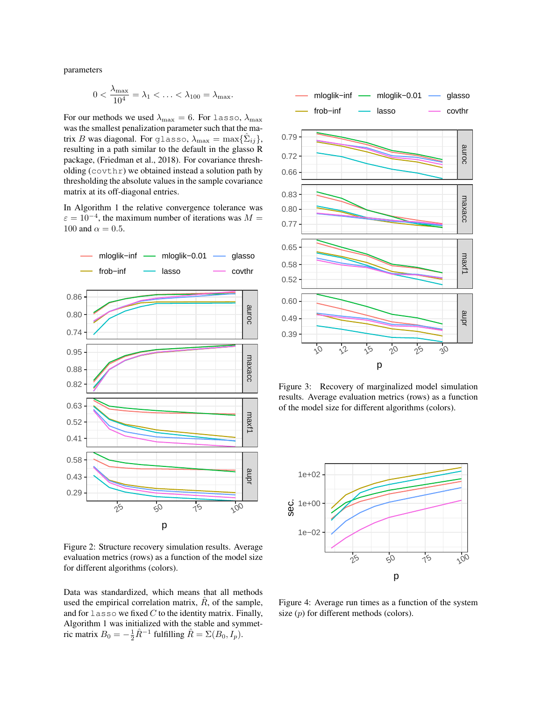parameters

$$
0 < \frac{\lambda_{\max}}{10^4} = \lambda_1 < \ldots < \lambda_{100} = \lambda_{\max}.
$$

For our methods we used  $\lambda_{\text{max}} = 6$ . For lasso,  $\lambda_{\text{max}}$ was the smallest penalization parameter such that the matrix B was diagonal. For glasso,  $\lambda_{\text{max}} = \max\{\hat{\Sigma}_{ij}\},$ resulting in a path similar to the default in the glasso R package, [\(Friedman et al., 2018\)](#page-9-21). For covariance thresholding (covthr) we obtained instead a solution path by thresholding the absolute values in the sample covariance matrix at its off-diagonal entries.

In Algorithm [1](#page-5-0) the relative convergence tolerance was  $\varepsilon = 10^{-4}$ , the maximum number of iterations was  $M =$ 100 and  $\alpha = 0.5$ .



Figure 2: Structure recovery simulation results. Average evaluation metrics (rows) as a function of the model size for different algorithms (colors).

Data was standardized, which means that all methods used the empirical correlation matrix,  $\hat{R}$ , of the sample, and for  $l$  asso we fixed  $C$  to the identity matrix. Finally, Algorithm [1](#page-5-0) was initialized with the stable and symmetric matrix  $B_0 = -\frac{1}{2}\hat{R}^{-1}$ 



<span id="page-6-1"></span>Figure 3: Recovery of marginalized model simulation results. Average evaluation metrics (rows) as a function of the model size for different algorithms (colors).

<span id="page-6-0"></span>

<span id="page-6-2"></span>Figure 4: Average run times as a function of the system size  $(p)$  for different methods (colors).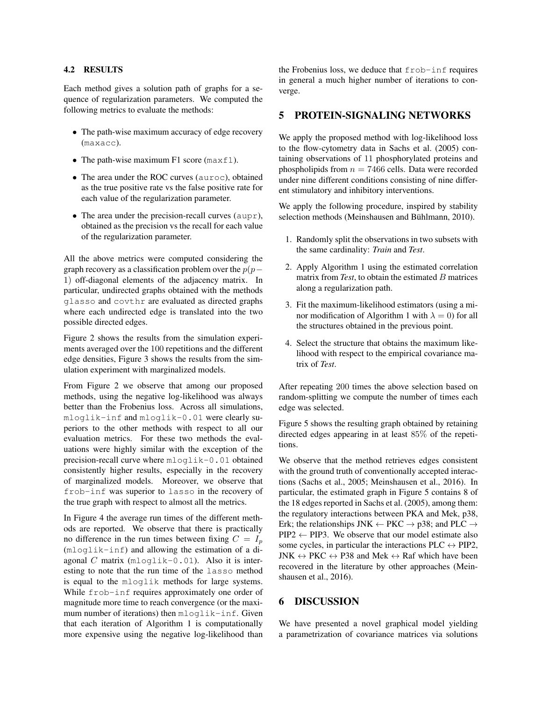## 4.2 RESULTS

Each method gives a solution path of graphs for a sequence of regularization parameters. We computed the following metrics to evaluate the methods:

- The path-wise maximum accuracy of edge recovery (maxacc).
- The path-wise maximum F1 score ( $maxf1$ ).
- The area under the ROC curves (auroc), obtained as the true positive rate vs the false positive rate for each value of the regularization parameter.
- The area under the precision-recall curves ( $aupr$ ), obtained as the precision vs the recall for each value of the regularization parameter.

All the above metrics were computed considering the graph recovery as a classification problem over the  $p(p-$ 1) off-diagonal elements of the adjacency matrix. In particular, undirected graphs obtained with the methods glasso and covthr are evaluated as directed graphs where each undirected edge is translated into the two possible directed edges.

Figure [2](#page-6-0) shows the results from the simulation experiments averaged over the 100 repetitions and the different edge densities, Figure [3](#page-6-1) shows the results from the simulation experiment with marginalized models.

From Figure [2](#page-6-0) we observe that among our proposed methods, using the negative log-likelihood was always better than the Frobenius loss. Across all simulations, mloglik-inf and mloglik-0.01 were clearly superiors to the other methods with respect to all our evaluation metrics. For these two methods the evaluations were highly similar with the exception of the precision-recall curve where mloglik-0.01 obtained consistently higher results, especially in the recovery of marginalized models. Moreover, we observe that frob-inf was superior to lasso in the recovery of the true graph with respect to almost all the metrics.

In Figure [4](#page-6-2) the average run times of the different methods are reported. We observe that there is practically no difference in the run times between fixing  $C = I_p$ (mloglik-inf) and allowing the estimation of a diagonal  $C$  matrix ( $m$ loglik-0.01). Also it is interesting to note that the run time of the lasso method is equal to the mloglik methods for large systems. While frob-inf requires approximately one order of magnitude more time to reach convergence (or the maximum number of iterations) then mloglik-inf. Given that each iteration of Algorithm [1](#page-5-0) is computationally more expensive using the negative log-likelihood than the Frobenius loss, we deduce that frob-inf requires in general a much higher number of iterations to converge.

## 5 PROTEIN-SIGNALING NETWORKS

We apply the proposed method with log-likelihood loss to the flow-cytometry data in [Sachs et al.](#page-9-6) [\(2005\)](#page-9-6) containing observations of 11 phosphorylated proteins and phospholipids from  $n = 7466$  cells. Data were recorded under nine different conditions consisting of nine different stimulatory and inhibitory interventions.

We apply the following procedure, inspired by stability selection methods (Meinshausen and Bühlmann, 2010).

- 1. Randomly split the observations in two subsets with the same cardinality: *Train* and *Test*.
- 2. Apply Algorithm [1](#page-5-0) using the estimated correlation matrix from *Test*, to obtain the estimated B matrices along a regularization path.
- 3. Fit the maximum-likelihood estimators (using a mi-nor modification of Algorithm [1](#page-5-0) with  $\lambda = 0$ ) for all the structures obtained in the previous point.
- 4. Select the structure that obtains the maximum likelihood with respect to the empirical covariance matrix of *Test*.

After repeating 200 times the above selection based on random-splitting we compute the number of times each edge was selected.

Figure [5](#page-8-5) shows the resulting graph obtained by retaining directed edges appearing in at least 85% of the repetitions.

We observe that the method retrieves edges consistent with the ground truth of conventionally accepted interactions [\(Sachs et al., 2005;](#page-9-6) [Meinshausen et al., 2016\)](#page-9-23). In particular, the estimated graph in Figure [5](#page-8-5) contains 8 of the 18 edges reported in [Sachs et al.](#page-9-6) [\(2005\)](#page-9-6), among them: the regulatory interactions between PKA and Mek, p38, Erk; the relationships JNK  $\leftarrow$  PKC  $\rightarrow$  p38; and PLC  $\rightarrow$  $PIP2 \leftarrow PIP3$ . We observe that our model estimate also some cycles, in particular the interactions  $PLC \leftrightarrow PIP2$ , JNK  $\leftrightarrow$  PKC  $\leftrightarrow$  P38 and Mek  $\leftrightarrow$  Raf which have been recovered in the literature by other approaches [\(Mein](#page-9-23)[shausen et al., 2016\)](#page-9-23).

## 6 DISCUSSION

We have presented a novel graphical model yielding a parametrization of covariance matrices via solutions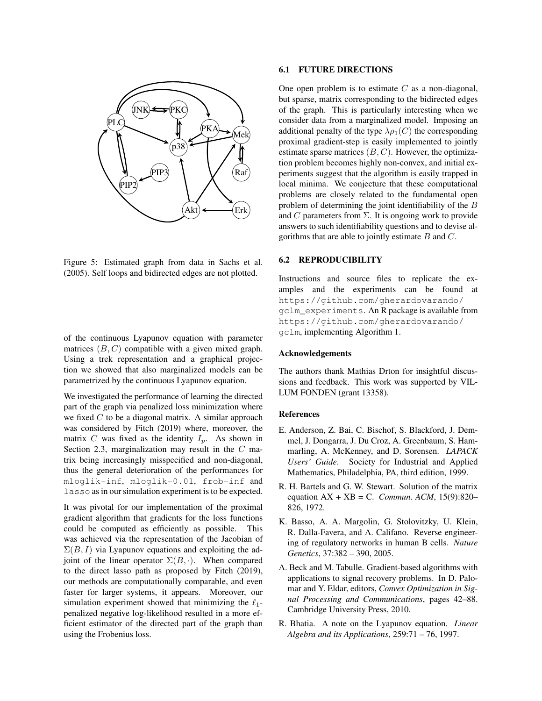

Figure 5: Estimated graph from data in [Sachs et al.](#page-9-6) [\(2005\)](#page-9-6). Self loops and bidirected edges are not plotted.

of the continuous Lyapunov equation with parameter matrices  $(B, C)$  compatible with a given mixed graph. Using a trek representation and a graphical projection we showed that also marginalized models can be parametrized by the continuous Lyapunov equation.

We investigated the performance of learning the directed part of the graph via penalized loss minimization where we fixed  $C$  to be a diagonal matrix. A similar approach was considered by [Fitch](#page-9-9) [\(2019\)](#page-9-9) where, moreover, the matrix C was fixed as the identity  $I_p$ . As shown in Section [2.3,](#page-2-4) marginalization may result in the C matrix being increasingly misspecified and non-diagonal, thus the general deterioration of the performances for mloglik-inf, mloglik-0.01, frob-inf and lasso as in our simulation experiment is to be expected.

It was pivotal for our implementation of the proximal gradient algorithm that gradients for the loss functions could be computed as efficiently as possible. This was achieved via the representation of the Jacobian of  $\Sigma(B, I)$  via Lyapunov equations and exploiting the adjoint of the linear operator  $\Sigma(B, \cdot)$ . When compared to the direct lasso path as proposed by [Fitch](#page-9-9) [\(2019\)](#page-9-9), our methods are computationally comparable, and even faster for larger systems, it appears. Moreover, our simulation experiment showed that minimizing the  $\ell_1$ penalized negative log-likelihood resulted in a more efficient estimator of the directed part of the graph than using the Frobenius loss.

### 6.1 FUTURE DIRECTIONS

One open problem is to estimate  $C$  as a non-diagonal, but sparse, matrix corresponding to the bidirected edges of the graph. This is particularly interesting when we consider data from a marginalized model. Imposing an additional penalty of the type  $\lambda \rho_1(C)$  the corresponding proximal gradient-step is easily implemented to jointly estimate sparse matrices  $(B, C)$ . However, the optimization problem becomes highly non-convex, and initial experiments suggest that the algorithm is easily trapped in local minima. We conjecture that these computational problems are closely related to the fundamental open problem of determining the joint identifiability of the B and C parameters from  $\Sigma$ . It is ongoing work to provide answers to such identifiability questions and to devise algorithms that are able to jointly estimate  $B$  and  $C$ .

## <span id="page-8-5"></span>6.2 REPRODUCIBILITY

Instructions and source files to replicate the examples and the experiments can be found at [https://github.com/gherardovarando/](https://github.com/gherardovarando/gclm_experiments) [gclm\\_experiments](https://github.com/gherardovarando/gclm_experiments). An R package is available from [https://github.com/gherardovarando/](https://github.com/gherardovarando/gclm) [gclm](https://github.com/gherardovarando/gclm), implementing Algorithm [1.](#page-5-0)

#### Acknowledgements

The authors thank Mathias Drton for insightful discussions and feedback. This work was supported by VIL-LUM FONDEN (grant 13358).

#### References

- <span id="page-8-4"></span>E. Anderson, Z. Bai, C. Bischof, S. Blackford, J. Demmel, J. Dongarra, J. Du Croz, A. Greenbaum, S. Hammarling, A. McKenney, and D. Sorensen. *LAPACK Users' Guide*. Society for Industrial and Applied Mathematics, Philadelphia, PA, third edition, 1999.
- <span id="page-8-3"></span>R. H. Bartels and G. W. Stewart. Solution of the matrix equation AX + XB = C. *Commun. ACM*, 15(9):820– 826, 1972.
- <span id="page-8-0"></span>K. Basso, A. A. Margolin, G. Stolovitzky, U. Klein, R. Dalla-Favera, and A. Califano. Reverse engineering of regulatory networks in human B cells. *Nature Genetics*, 37:382 – 390, 2005.
- <span id="page-8-1"></span>A. Beck and M. Tabulle. Gradient-based algorithms with applications to signal recovery problems. In D. Palomar and Y. Eldar, editors, *Convex Optimization in Signal Processing and Communications*, pages 42–88. Cambridge University Press, 2010.
- <span id="page-8-2"></span>R. Bhatia. A note on the Lyapunov equation. *Linear Algebra and its Applications*, 259:71 – 76, 1997.